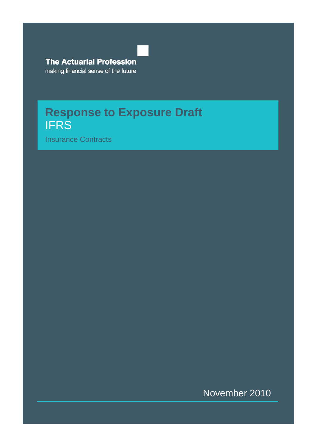## **The Actuarial Profession**

making financial sense of the future

# **Response to Exposure Draft**  IFRS

Insurance Contracts

November 2010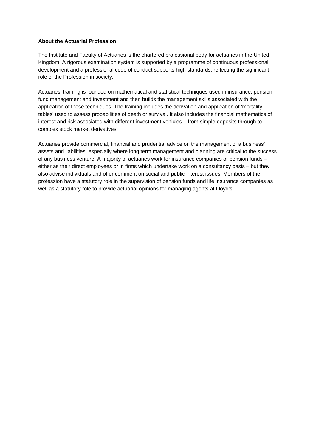### **About the Actuarial Profession**

The Institute and Faculty of Actuaries is the chartered professional body for actuaries in the United Kingdom. A rigorous examination system is supported by a programme of continuous professional development and a professional code of conduct supports high standards, reflecting the significant role of the Profession in society.

Actuaries' training is founded on mathematical and statistical techniques used in insurance, pension fund management and investment and then builds the management skills associated with the application of these techniques. The training includes the derivation and application of 'mortality tables' used to assess probabilities of death or survival. It also includes the financial mathematics of interest and risk associated with different investment vehicles – from simple deposits through to complex stock market derivatives.

Actuaries provide commercial, financial and prudential advice on the management of a business' assets and liabilities, especially where long term management and planning are critical to the success of any business venture. A majority of actuaries work for insurance companies or pension funds – either as their direct employees or in firms which undertake work on a consultancy basis – but they also advise individuals and offer comment on social and public interest issues. Members of the profession have a statutory role in the supervision of pension funds and life insurance companies as well as a statutory role to provide actuarial opinions for managing agents at Lloyd's.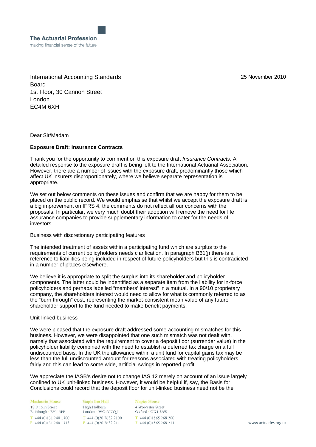International Accounting Standards 25 November 2010 Board 1st Floor, 30 Cannon Street London EC4M 6XH

Dear Sir/Madam

#### **Exposure Draft: Insurance Contracts**

Thank you for the opportunity to comment on this exposure draft *Insurance Contracts.* A detailed response to the exposure draft is being left to the International Actuarial Association. However, there are a number of issues with the exposure draft, predominantly those which affect UK insurers disproportionately, where we believe separate representation is appropriate.

We set out below comments on these issues and confirm that we are happy for them to be placed on the public record. We would emphasise that whilst we accept the exposure draft is a big improvement on IFRS 4, the comments do not reflect all our concerns with the proposals. In particular, we very much doubt their adoption will remove the need for life assurance companies to provide supplementary information to cater for the needs of investors.

#### Business with discretionary participating features

The intended treatment of assets within a participating fund which are surplus to the requirements of current policyholders needs clarification. In paragraph B61(j) there is a reference to liabilities being included in respect of future policyholders but this is contradicted in a number of places elsewhere.

We believe it is appropriate to split the surplus into its shareholder and policyholder components. The latter could be indentified as a separate item from the liability for in-force policyholders and perhaps labelled "members' interest" in a mutual. In a 90/10 proprietary company, the shareholders interest would need to allow for what is commonly referred to as the "burn through" cost, representing the market-consistent mean value of any future shareholder support to the fund needed to make benefit payments.

#### Unit-linked business

We were pleased that the exposure draft addressed some accounting mismatches for this business. However, we were disappointed that one such mismatch was not dealt with, namely that associated with the requirement to cover a deposit floor (surrender value) in the policyholder liability combined with the need to establish a deferred tax charge on a full undiscounted basis. In the UK the allowance within a unit fund for capital gains tax may be less than the full undiscounted amount for reasons associated with treating policyholders fairly and this can lead to some wide, artificial swings in reported profit.

We appreciate the IASB's desire not to change IAS 12 merely on account of an issue largely confined to UK unit-linked business. However, it would be helpful if, say, the Basis for Conclusions could record that the deposit floor for unit-linked business need not be the

**Maclaurin House** 18 Dublin Street Edinburgh · EH1 3PP  $T + 44(0)1312401300$  $F +44(0)1312401313$ 

Staple Inn Hall High Holborn London  $\cdot$  WC1V 7Q1  $T +44(0)2076322100$  $F +44(0)2076322111$ 

Napier House 4 Worcester Street Oxford · OX1 2AW  $T +44(0)1865268200$  $F +44(0)1865268211$